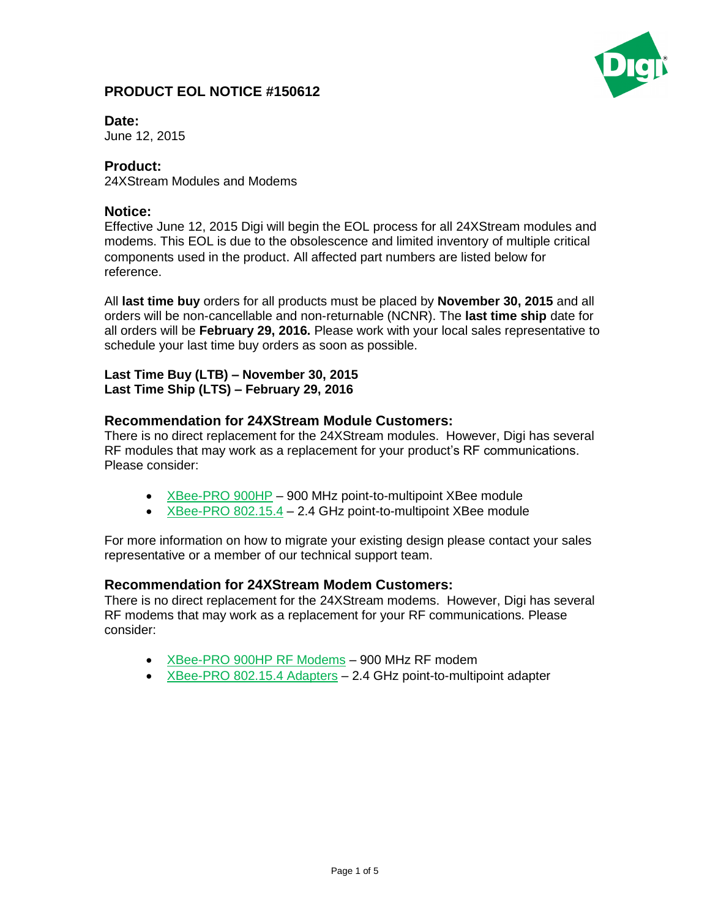# **PRODUCT EOL NOTICE #150612**



**Date:** 

June 12, 2015

## **Product:**

24XStream Modules and Modems

## **Notice:**

Effective June 12, 2015 Digi will begin the EOL process for all 24XStream modules and modems. This EOL is due to the obsolescence and limited inventory of multiple critical components used in the product. All affected part numbers are listed below for reference.

All **last time buy** orders for all products must be placed by **November 30, 2015** and all orders will be non-cancellable and non-returnable (NCNR). The **last time ship** date for all orders will be **February 29, 2016.** Please work with your local sales representative to schedule your last time buy orders as soon as possible.

#### **Last Time Buy (LTB) – November 30, 2015 Last Time Ship (LTS) – February 29, 2016**

#### **Recommendation for 24XStream Module Customers:**

There is no direct replacement for the 24XStream modules. However, Digi has several RF modules that may work as a replacement for your product's RF communications. Please consider:

- $\overline{\phantom{a}}$  [XBee-PRO 900HP](http://www.digi.com/products/wireless-wired-embedded-solutions/rf-modules/xbee-rf-modules/xbee-proprietary-rf-modules/xbee-pro-900hp) 900 MHz point-to-multipoint XBee module
- [XBee-PRO 802.15.4](http://www.digi.com/products/wireless-wired-embedded-solutions/zigbee-rf-modules/point-multipoint-rfmodules/xbee-series1-module) 2.4 GHz point-to-multipoint XBee module

For more information on how to migrate your existing design please contact your sales representative or a member of our technical support team.

## **Recommendation for 24XStream Modem Customers:**

There is no direct replacement for the 24XStream modems. However, Digi has several RF modems that may work as a replacement for your RF communications. Please consider:

- [XBee-PRO 900HP](http://www.digi.com/products/wireless-modems-peripherals/wireless-range-extenders-peripherals/xbee-pro-900hp-rf-modems#overview) RF Modems 900 MHz RF modem
- [XBee-PRO 802.15.4](http://www.digi.com/products/wireless-modems-peripherals/wireless-range-extenders-peripherals/xbeeadapters#overview) Adapters 2.4 GHz point-to-multipoint adapter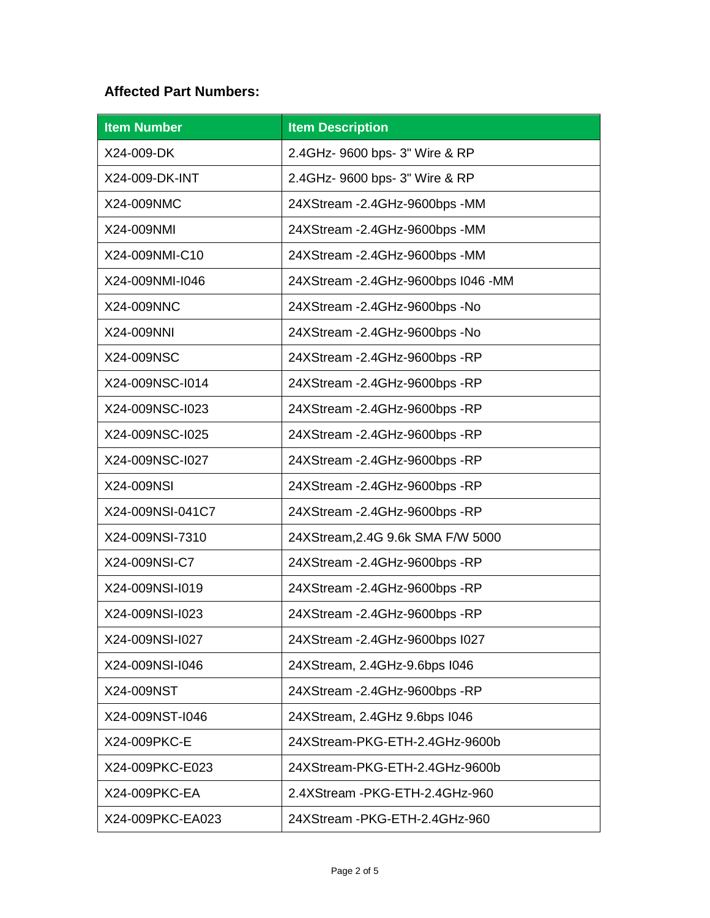# **Affected Part Numbers:**

| <b>Item Number</b> | <b>Item Description</b>              |
|--------------------|--------------------------------------|
| X24-009-DK         | 2.4GHz- 9600 bps- 3" Wire & RP       |
| X24-009-DK-INT     | 2.4GHz- 9600 bps- 3" Wire & RP       |
| X24-009NMC         | 24XStream -2.4GHz-9600bps -MM        |
| X24-009NMI         | 24XStream - 2.4GHz-9600bps - MM      |
| X24-009NMI-C10     | 24XStream -2.4GHz-9600bps -MM        |
| X24-009NMI-I046    | 24XStream - 2.4GHz-9600bps I046 - MM |
| X24-009NNC         | 24XStream -2.4GHz-9600bps -No        |
| X24-009NNI         | 24XStream -2.4GHz-9600bps -No        |
| X24-009NSC         | 24XStream - 2.4GHz-9600bps - RP      |
| X24-009NSC-I014    | 24XStream - 2.4GHz-9600bps - RP      |
| X24-009NSC-I023    | 24XStream - 2.4GHz-9600bps - RP      |
| X24-009NSC-I025    | 24XStream - 2.4GHz-9600bps - RP      |
| X24-009NSC-I027    | 24XStream - 2.4GHz-9600bps - RP      |
| X24-009NSI         | 24XStream -2.4GHz-9600bps -RP        |
| X24-009NSI-041C7   | 24XStream - 2.4GHz-9600bps - RP      |
| X24-009NSI-7310    | 24XStream, 2.4G 9.6k SMA F/W 5000    |
| X24-009NSI-C7      | 24XStream -2.4GHz-9600bps -RP        |
| X24-009NSI-I019    | 24XStream - 2.4GHz-9600bps - RP      |
| X24-009NSI-I023    | 24XStream - 2.4GHz-9600bps - RP      |
| X24-009NSI-I027    | 24XStream - 2.4GHz-9600bps I027      |
| X24-009NSI-I046    | 24XStream, 2.4GHz-9.6bps I046        |
| X24-009NST         | 24XStream -2.4GHz-9600bps -RP        |
| X24-009NST-I046    | 24XStream, 2.4GHz 9.6bps I046        |
| X24-009PKC-E       | 24XStream-PKG-ETH-2.4GHz-9600b       |
| X24-009PKC-E023    | 24XStream-PKG-ETH-2.4GHz-9600b       |
| X24-009PKC-EA      | 2.4XStream - PKG-ETH-2.4GHz-960      |
| X24-009PKC-EA023   | 24XStream - PKG-ETH-2.4GHz-960       |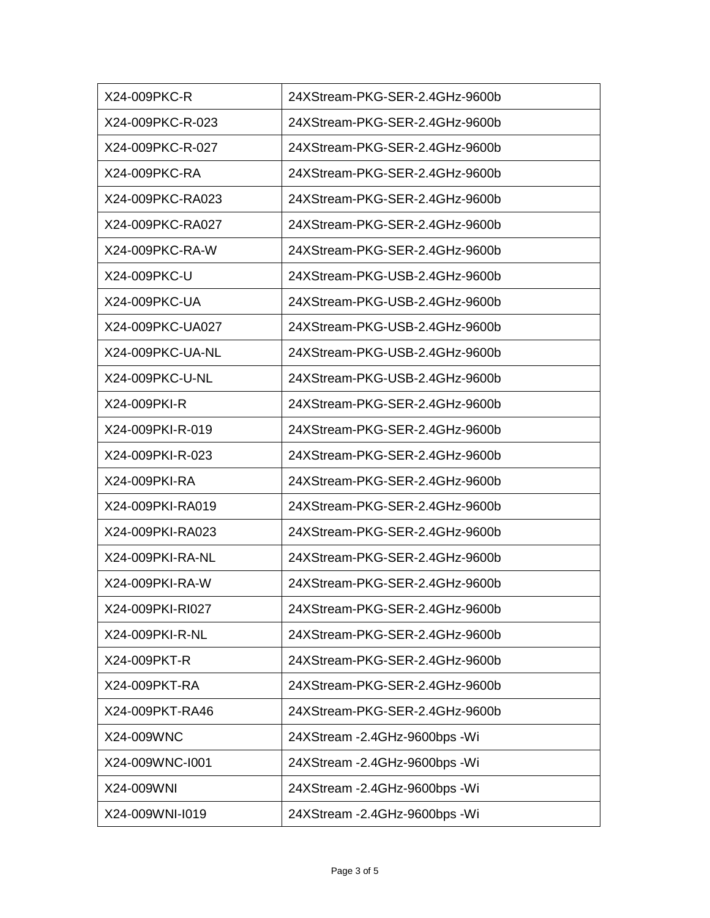| X24-009PKC-R     | 24XStream-PKG-SER-2.4GHz-9600b  |
|------------------|---------------------------------|
| X24-009PKC-R-023 | 24XStream-PKG-SER-2.4GHz-9600b  |
| X24-009PKC-R-027 | 24XStream-PKG-SER-2.4GHz-9600b  |
| X24-009PKC-RA    | 24XStream-PKG-SER-2.4GHz-9600b  |
| X24-009PKC-RA023 | 24XStream-PKG-SER-2.4GHz-9600b  |
| X24-009PKC-RA027 | 24XStream-PKG-SER-2.4GHz-9600b  |
| X24-009PKC-RA-W  | 24XStream-PKG-SER-2.4GHz-9600b  |
| X24-009PKC-U     | 24XStream-PKG-USB-2.4GHz-9600b  |
| X24-009PKC-UA    | 24XStream-PKG-USB-2.4GHz-9600b  |
| X24-009PKC-UA027 | 24XStream-PKG-USB-2.4GHz-9600b  |
| X24-009PKC-UA-NL | 24XStream-PKG-USB-2.4GHz-9600b  |
| X24-009PKC-U-NL  | 24XStream-PKG-USB-2.4GHz-9600b  |
| X24-009PKI-R     | 24XStream-PKG-SER-2.4GHz-9600b  |
| X24-009PKI-R-019 | 24XStream-PKG-SER-2.4GHz-9600b  |
| X24-009PKI-R-023 | 24XStream-PKG-SER-2.4GHz-9600b  |
| X24-009PKI-RA    | 24XStream-PKG-SER-2.4GHz-9600b  |
| X24-009PKI-RA019 | 24XStream-PKG-SER-2.4GHz-9600b  |
| X24-009PKI-RA023 | 24XStream-PKG-SER-2.4GHz-9600b  |
| X24-009PKI-RA-NL | 24XStream-PKG-SER-2.4GHz-9600b  |
| X24-009PKI-RA-W  | 24XStream-PKG-SER-2.4GHz-9600b  |
| X24-009PKI-RI027 | 24XStream-PKG-SER-2.4GHz-9600b  |
| X24-009PKI-R-NL  | 24XStream-PKG-SER-2.4GHz-9600b  |
| X24-009PKT-R     | 24XStream-PKG-SER-2.4GHz-9600b  |
| X24-009PKT-RA    | 24XStream-PKG-SER-2.4GHz-9600b  |
| X24-009PKT-RA46  | 24XStream-PKG-SER-2.4GHz-9600b  |
| X24-009WNC       | 24XStream -2.4GHz-9600bps -Wi   |
| X24-009WNC-I001  | 24XStream -2.4GHz-9600bps -Wi   |
| X24-009WNI       | 24XStream -2.4GHz-9600bps -Wi   |
| X24-009WNI-I019  | 24XStream - 2.4GHz-9600bps - Wi |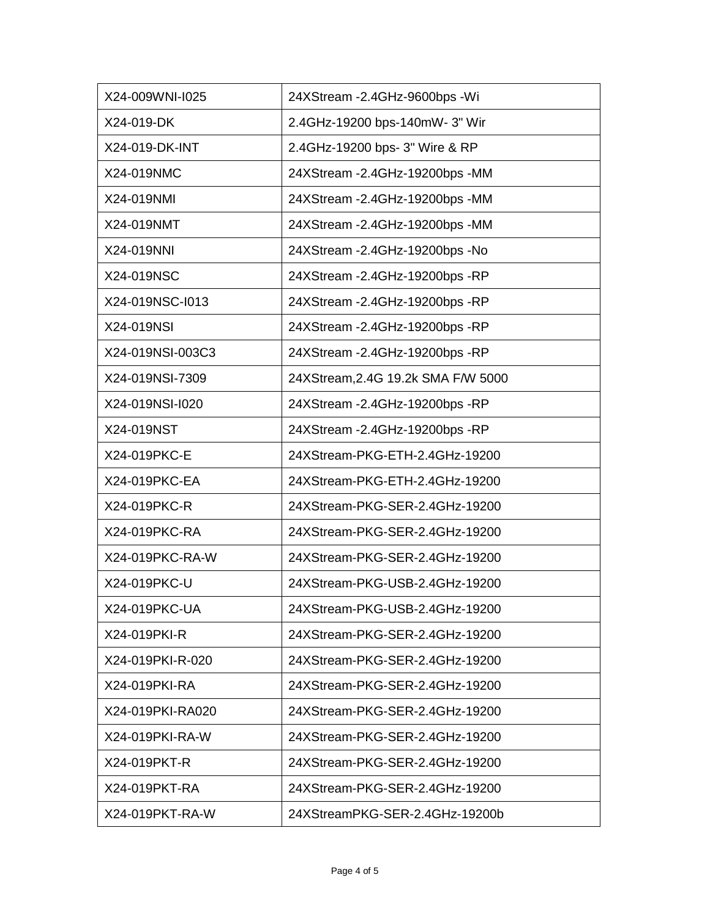| X24-009WNI-I025  | 24XStream -2.4GHz-9600bps -Wi       |
|------------------|-------------------------------------|
| X24-019-DK       | 2.4GHz-19200 bps-140mW- 3" Wir      |
| X24-019-DK-INT   | 2.4GHz-19200 bps- 3" Wire & RP      |
| X24-019NMC       | 24XStream - 2.4GHz-19200bps - MM    |
| X24-019NMI       | 24XStream -2.4GHz-19200bps -MM      |
| X24-019NMT       | 24XStream -2.4GHz-19200bps -MM      |
| X24-019NNI       | 24XStream -2.4GHz-19200bps -No      |
| X24-019NSC       | 24XStream - 2.4 GHz - 19200bps - RP |
| X24-019NSC-I013  | 24XStream - 2.4 GHz - 19200bps - RP |
| X24-019NSI       | 24XStream - 2.4 GHz - 19200bps - RP |
| X24-019NSI-003C3 | 24XStream -2.4GHz-19200bps -RP      |
| X24-019NSI-7309  | 24XStream, 2.4G 19.2k SMA F/W 5000  |
| X24-019NSI-I020  | 24XStream -2.4GHz-19200bps -RP      |
| X24-019NST       | 24XStream - 2.4GHz-19200bps - RP    |
| X24-019PKC-E     | 24XStream-PKG-ETH-2.4GHz-19200      |
| X24-019PKC-EA    | 24XStream-PKG-ETH-2.4GHz-19200      |
| X24-019PKC-R     | 24XStream-PKG-SER-2.4GHz-19200      |
| X24-019PKC-RA    | 24XStream-PKG-SER-2.4GHz-19200      |
| X24-019PKC-RA-W  | 24XStream-PKG-SER-2.4GHz-19200      |
| X24-019PKC-U     | 24XStream-PKG-USB-2.4GHz-19200      |
| X24-019PKC-UA    | 24XStream-PKG-USB-2.4GHz-19200      |
| X24-019PKI-R     | 24XStream-PKG-SER-2.4GHz-19200      |
| X24-019PKI-R-020 | 24XStream-PKG-SER-2.4GHz-19200      |
| X24-019PKI-RA    | 24XStream-PKG-SER-2.4GHz-19200      |
| X24-019PKI-RA020 | 24XStream-PKG-SER-2.4GHz-19200      |
| X24-019PKI-RA-W  | 24XStream-PKG-SER-2.4GHz-19200      |
| X24-019PKT-R     | 24XStream-PKG-SER-2.4GHz-19200      |
| X24-019PKT-RA    | 24XStream-PKG-SER-2.4GHz-19200      |
| X24-019PKT-RA-W  | 24XStreamPKG-SER-2.4GHz-19200b      |